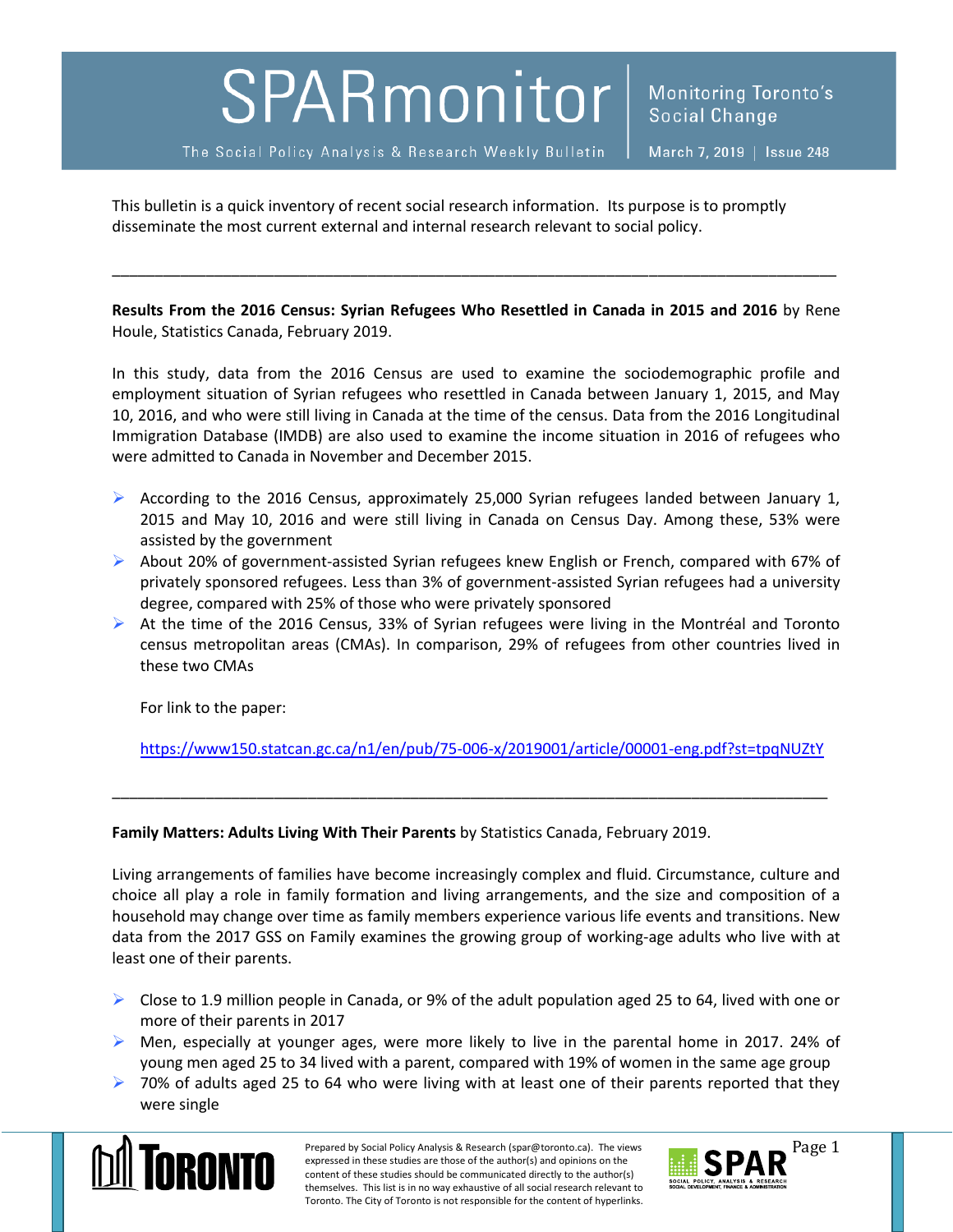## SPARmonitor

The Social Policy Analysis & Research Weekly Bulletin

This bulletin is a quick inventory of recent social research information. Its purpose is to promptly disseminate the most current external and internal research relevant to social policy.

**Results From the 2016 Census: Syrian Refugees Who Resettled in Canada in 2015 and 2016** by Rene Houle, Statistics Canada, February 2019.

\_\_\_\_\_\_\_\_\_\_\_\_\_\_\_\_\_\_\_\_\_\_\_\_\_\_\_\_\_\_\_\_\_\_\_\_\_\_\_\_\_\_\_\_\_\_\_\_\_\_\_\_\_\_\_\_\_\_\_\_\_\_\_\_\_\_\_\_\_\_\_\_\_\_\_\_\_\_\_\_\_\_\_\_\_

In this study, data from the 2016 Census are used to examine the sociodemographic profile and employment situation of Syrian refugees who resettled in Canada between January 1, 2015, and May 10, 2016, and who were still living in Canada at the time of the census. Data from the 2016 Longitudinal Immigration Database (IMDB) are also used to examine the income situation in 2016 of refugees who were admitted to Canada in November and December 2015.

- According to the 2016 Census, approximately 25,000 Syrian refugees landed between January 1, 2015 and May 10, 2016 and were still living in Canada on Census Day. Among these, 53% were assisted by the government
- $\triangleright$  About 20% of government-assisted Syrian refugees knew English or French, compared with 67% of privately sponsored refugees. Less than 3% of government-assisted Syrian refugees had a university degree, compared with 25% of those who were privately sponsored
- $\triangleright$  At the time of the 2016 Census, 33% of Syrian refugees were living in the Montréal and Toronto census metropolitan areas (CMAs). In comparison, 29% of refugees from other countries lived in these two CMAs

For link to the paper:

<https://www150.statcan.gc.ca/n1/en/pub/75-006-x/2019001/article/00001-eng.pdf?st=tpqNUZtY>

\_\_\_\_\_\_\_\_\_\_\_\_\_\_\_\_\_\_\_\_\_\_\_\_\_\_\_\_\_\_\_\_\_\_\_\_\_\_\_\_\_\_\_\_\_\_\_\_\_\_\_\_\_\_\_\_\_\_\_\_\_\_\_\_\_\_\_\_\_\_\_\_\_\_\_\_\_\_\_\_\_\_\_\_

**Family Matters: Adults Living With Their Parents** by Statistics Canada, February 2019.

Living arrangements of families have become increasingly complex and fluid. Circumstance, culture and choice all play a role in family formation and living arrangements, and the size and composition of a household may change over time as family members experience various life events and transitions. New data from the 2017 GSS on Family examines the growing group of working-age adults who live with at least one of their parents.

- $\triangleright$  Close to 1.9 million people in Canada, or 9% of the adult population aged 25 to 64, lived with one or more of their parents in 2017
- $\triangleright$  Men, especially at younger ages, were more likely to live in the parental home in 2017. 24% of young men aged 25 to 34 lived with a parent, compared with 19% of women in the same age group
- $\triangleright$  70% of adults aged 25 to 64 who were living with at least one of their parents reported that they were single



Prepared by Social Policy Analysis & Research (spar@toronto.ca). The views Page 1 expressed in these studies are those of the author(s) and opinions on the content of these studies should be communicated directly to the author(s) themselves. This list is in no way exhaustive of all social research relevant to Toronto. The City of Toronto is not responsible for the content of hyperlinks.

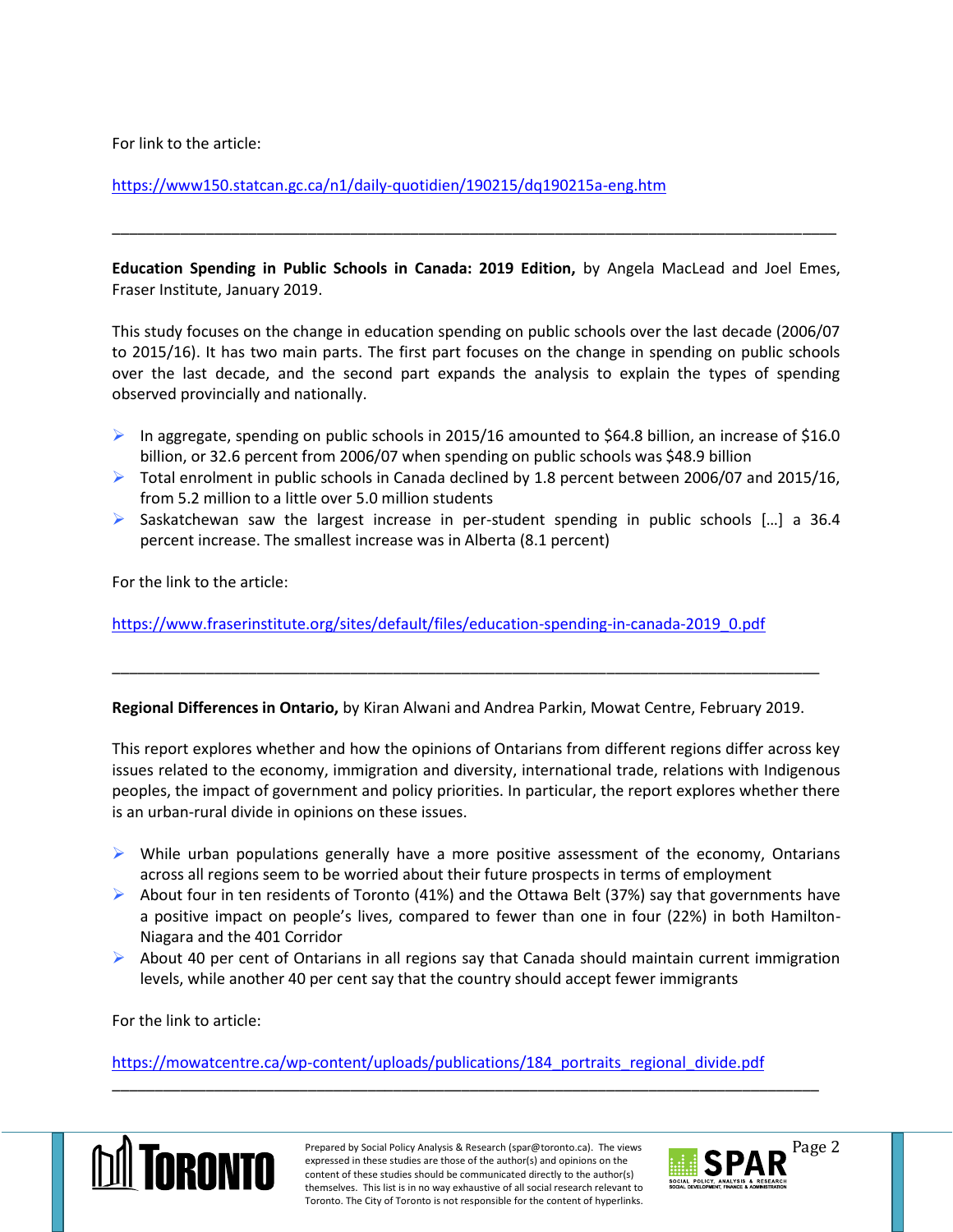For link to the article:

<https://www150.statcan.gc.ca/n1/daily-quotidien/190215/dq190215a-eng.htm>

**Education Spending in Public Schools in Canada: 2019 Edition,** by Angela MacLead and Joel Emes, Fraser Institute, January 2019.

\_\_\_\_\_\_\_\_\_\_\_\_\_\_\_\_\_\_\_\_\_\_\_\_\_\_\_\_\_\_\_\_\_\_\_\_\_\_\_\_\_\_\_\_\_\_\_\_\_\_\_\_\_\_\_\_\_\_\_\_\_\_\_\_\_\_\_\_\_\_\_\_\_\_\_\_\_\_\_\_\_\_\_\_\_

This study focuses on the change in education spending on public schools over the last decade (2006/07 to 2015/16). It has two main parts. The first part focuses on the change in spending on public schools over the last decade, and the second part expands the analysis to explain the types of spending observed provincially and nationally.

- In aggregate, spending on public schools in 2015/16 amounted to \$64.8 billion, an increase of \$16.0 billion, or 32.6 percent from 2006/07 when spending on public schools was \$48.9 billion
- $\triangleright$  Total enrolment in public schools in Canada declined by 1.8 percent between 2006/07 and 2015/16, from 5.2 million to a little over 5.0 million students
- $\triangleright$  Saskatchewan saw the largest increase in per-student spending in public schools [...] a 36.4 percent increase. The smallest increase was in Alberta (8.1 percent)

For the link to the article:

[https://www.fraserinstitute.org/sites/default/files/education-spending-in-canada-2019\\_0.pdf](https://www.fraserinstitute.org/sites/default/files/education-spending-in-canada-2019_0.pdf)

**Regional Differences in Ontario,** by Kiran Alwani and Andrea Parkin, Mowat Centre, February 2019.

\_\_\_\_\_\_\_\_\_\_\_\_\_\_\_\_\_\_\_\_\_\_\_\_\_\_\_\_\_\_\_\_\_\_\_\_\_\_\_\_\_\_\_\_\_\_\_\_\_\_\_\_\_\_\_\_\_\_\_\_\_\_\_\_\_\_\_\_\_\_\_\_\_\_\_\_\_\_\_\_\_\_\_

This report explores whether and how the opinions of Ontarians from different regions differ across key issues related to the economy, immigration and diversity, international trade, relations with Indigenous peoples, the impact of government and policy priorities. In particular, the report explores whether there is an urban-rural divide in opinions on these issues.

- $\triangleright$  While urban populations generally have a more positive assessment of the economy, Ontarians across all regions seem to be worried about their future prospects in terms of employment
- $\triangleright$  About four in ten residents of Toronto (41%) and the Ottawa Belt (37%) say that governments have a positive impact on people's lives, compared to fewer than one in four (22%) in both Hamilton-Niagara and the 401 Corridor
- $\triangleright$  About 40 per cent of Ontarians in all regions say that Canada should maintain current immigration levels, while another 40 per cent say that the country should accept fewer immigrants

For the link to article:

[https://mowatcentre.ca/wp-content/uploads/publications/184\\_portraits\\_regional\\_divide.pdf](https://mowatcentre.ca/wp-content/uploads/publications/184_portraits_regional_divide.pdf)



\_\_\_\_\_\_\_\_\_\_\_\_\_\_\_\_\_\_\_\_\_\_\_\_\_\_\_\_\_\_\_\_\_\_\_\_\_\_\_\_\_\_\_\_\_\_\_\_\_\_\_\_\_\_\_\_\_\_\_\_\_\_\_\_\_\_\_\_\_\_\_\_\_\_\_\_\_\_\_\_\_\_\_